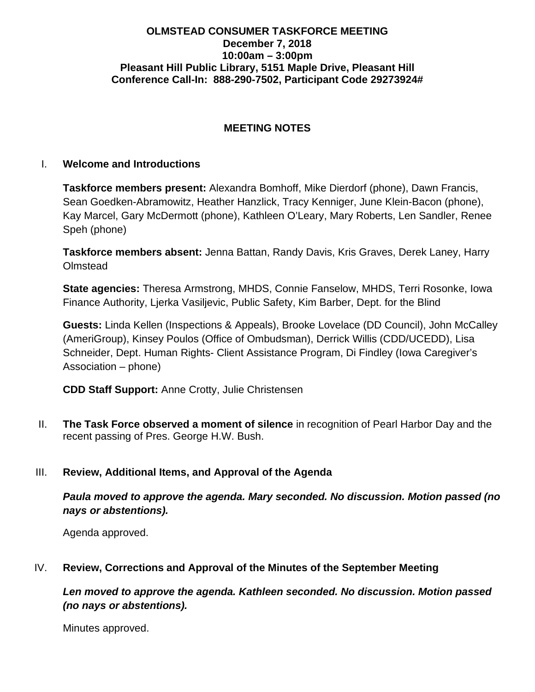#### **OLMSTEAD CONSUMER TASKFORCE MEETING December 7, 2018 10:00am – 3:00pm Pleasant Hill Public Library, 5151 Maple Drive, Pleasant Hill Conference Call-In: 888-290-7502, Participant Code 29273924#**

## **MEETING NOTES**

#### I. **Welcome and Introductions**

**Taskforce members present:** Alexandra Bomhoff, Mike Dierdorf (phone), Dawn Francis, Sean Goedken-Abramowitz, Heather Hanzlick, Tracy Kenniger, June Klein-Bacon (phone), Kay Marcel, Gary McDermott (phone), Kathleen O'Leary, Mary Roberts, Len Sandler, Renee Speh (phone)

**Taskforce members absent:** Jenna Battan, Randy Davis, Kris Graves, Derek Laney, Harry **Olmstead** 

**State agencies:** Theresa Armstrong, MHDS, Connie Fanselow, MHDS, Terri Rosonke, Iowa Finance Authority, Ljerka Vasiljevic, Public Safety, Kim Barber, Dept. for the Blind

**Guests:** Linda Kellen (Inspections & Appeals), Brooke Lovelace (DD Council), John McCalley (AmeriGroup), Kinsey Poulos (Office of Ombudsman), Derrick Willis (CDD/UCEDD), Lisa Schneider, Dept. Human Rights- Client Assistance Program, Di Findley (Iowa Caregiver's Association – phone)

**CDD Staff Support:** Anne Crotty, Julie Christensen

II. **The Task Force observed a moment of silence** in recognition of Pearl Harbor Day and the recent passing of Pres. George H.W. Bush.

#### III. **Review, Additional Items, and Approval of the Agenda**

*Paula moved to approve the agenda. Mary seconded. No discussion. Motion passed (no nays or abstentions).*

Agenda approved.

#### IV. **Review, Corrections and Approval of the Minutes of the September Meeting**

*Len moved to approve the agenda. Kathleen seconded. No discussion. Motion passed (no nays or abstentions).*

Minutes approved.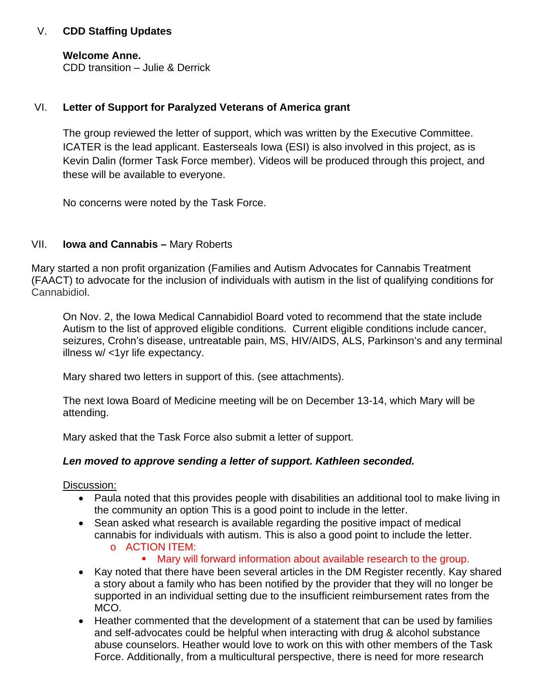## V. **CDD Staffing Updates**

#### **Welcome Anne.**

CDD transition – Julie & Derrick

#### VI. **Letter of Support for Paralyzed Veterans of America grant**

The group reviewed the letter of support, which was written by the Executive Committee. ICATER is the lead applicant. Easterseals Iowa (ESI) is also involved in this project, as is Kevin Dalin (former Task Force member). Videos will be produced through this project, and these will be available to everyone.

No concerns were noted by the Task Force.

#### VII. **Iowa and Cannabis –** Mary Roberts

Mary started a non profit organization (Families and Autism Advocates for Cannabis Treatment (FAACT) to advocate for the inclusion of individuals with autism in the list of qualifying conditions for Cannabidiol.

On Nov. 2, the Iowa Medical Cannabidiol Board voted to recommend that the state include Autism to the list of approved eligible conditions. Current eligible conditions include cancer, seizures, Crohn's disease, untreatable pain, MS, HIV/AIDS, ALS, Parkinson's and any terminal illness w/ <1yr life expectancy.

Mary shared two letters in support of this. (see attachments).

The next Iowa Board of Medicine meeting will be on December 13-14, which Mary will be attending.

Mary asked that the Task Force also submit a letter of support.

#### *Len moved to approve sending a letter of support. Kathleen seconded.*

Discussion:

- Paula noted that this provides people with disabilities an additional tool to make living in the community an option This is a good point to include in the letter.
- Sean asked what research is available regarding the positive impact of medical cannabis for individuals with autism. This is also a good point to include the letter. o ACTION ITEM:
	- Mary will forward information about available research to the group.
- Kay noted that there have been several articles in the DM Register recently. Kay shared a story about a family who has been notified by the provider that they will no longer be supported in an individual setting due to the insufficient reimbursement rates from the MCO.
- Heather commented that the development of a statement that can be used by families and self-advocates could be helpful when interacting with drug & alcohol substance abuse counselors. Heather would love to work on this with other members of the Task Force. Additionally, from a multicultural perspective, there is need for more research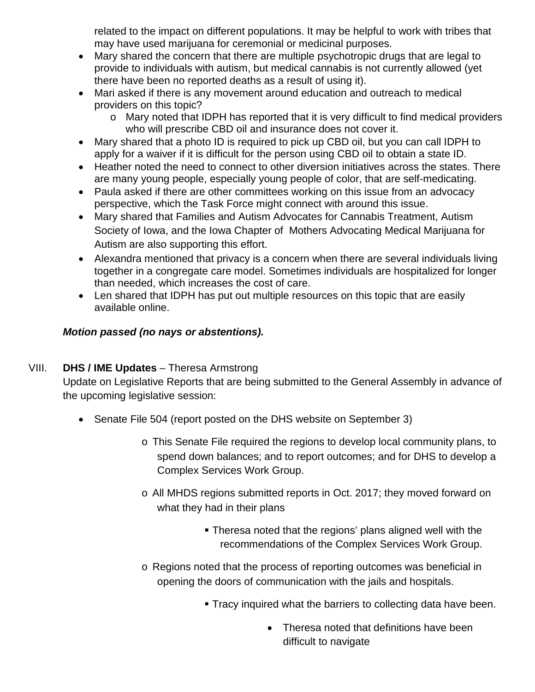related to the impact on different populations. It may be helpful to work with tribes that may have used marijuana for ceremonial or medicinal purposes.

- Mary shared the concern that there are multiple psychotropic drugs that are legal to provide to individuals with autism, but medical cannabis is not currently allowed (yet there have been no reported deaths as a result of using it).
- Mari asked if there is any movement around education and outreach to medical providers on this topic?
	- o Mary noted that IDPH has reported that it is very difficult to find medical providers who will prescribe CBD oil and insurance does not cover it.
- Mary shared that a photo ID is required to pick up CBD oil, but you can call IDPH to apply for a waiver if it is difficult for the person using CBD oil to obtain a state ID.
- Heather noted the need to connect to other diversion initiatives across the states. There are many young people, especially young people of color, that are self-medicating.
- Paula asked if there are other committees working on this issue from an advocacy perspective, which the Task Force might connect with around this issue.
- Mary shared that Families and Autism Advocates for Cannabis Treatment, Autism Society of Iowa, and the Iowa Chapter of Mothers Advocating Medical Marijuana for Autism are also supporting this effort.
- Alexandra mentioned that privacy is a concern when there are several individuals living together in a congregate care model. Sometimes individuals are hospitalized for longer than needed, which increases the cost of care.
- Len shared that IDPH has put out multiple resources on this topic that are easily available online.

# *Motion passed (no nays or abstentions).*

# VIII. **DHS / IME Updates** – Theresa Armstrong

Update on Legislative Reports that are being submitted to the General Assembly in advance of the upcoming legislative session:

- Senate File 504 (report posted on the DHS website on September 3)
	- o This Senate File required the regions to develop local community plans, to spend down balances; and to report outcomes; and for DHS to develop a Complex Services Work Group.
	- o All MHDS regions submitted reports in Oct. 2017; they moved forward on what they had in their plans
		- Theresa noted that the regions' plans aligned well with the recommendations of the Complex Services Work Group.
	- o Regions noted that the process of reporting outcomes was beneficial in opening the doors of communication with the jails and hospitals.
		- **Tracy inquired what the barriers to collecting data have been.** 
			- Theresa noted that definitions have been difficult to navigate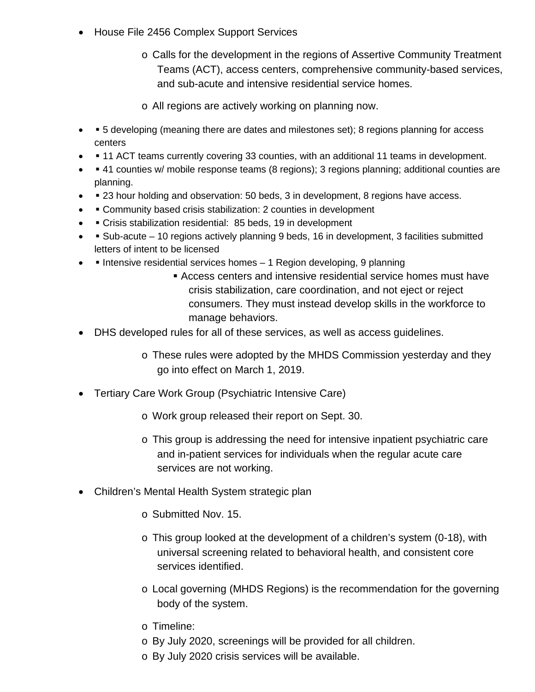- House File 2456 Complex Support Services
	- o Calls for the development in the regions of Assertive Community Treatment Teams (ACT), access centers, comprehensive community-based services, and sub-acute and intensive residential service homes.
	- o All regions are actively working on planning now.
- **•** 5 developing (meaning there are dates and milestones set); 8 regions planning for access centers
- 11 ACT teams currently covering 33 counties, with an additional 11 teams in development.
- 41 counties w/ mobile response teams (8 regions); 3 regions planning; additional counties are planning.
- **23 hour holding and observation: 50 beds, 3 in development, 8 regions have access.**
- • Community based crisis stabilization: 2 counties in development
- • Crisis stabilization residential: 85 beds, 19 in development
- Sub-acute 10 regions actively planning 9 beds, 16 in development, 3 facilities submitted letters of intent to be licensed
- Intensive residential services homes 1 Region developing, 9 planning
	- Access centers and intensive residential service homes must have crisis stabilization, care coordination, and not eject or reject consumers. They must instead develop skills in the workforce to manage behaviors.
- DHS developed rules for all of these services, as well as access guidelines.
	- o These rules were adopted by the MHDS Commission yesterday and they go into effect on March 1, 2019.
- Tertiary Care Work Group (Psychiatric Intensive Care)
	- o Work group released their report on Sept. 30.
	- o This group is addressing the need for intensive inpatient psychiatric care and in-patient services for individuals when the regular acute care services are not working.
- Children's Mental Health System strategic plan
	- o Submitted Nov. 15.
	- o This group looked at the development of a children's system (0-18), with universal screening related to behavioral health, and consistent core services identified.
	- o Local governing (MHDS Regions) is the recommendation for the governing body of the system.
	- o Timeline:
	- o By July 2020, screenings will be provided for all children.
	- o By July 2020 crisis services will be available.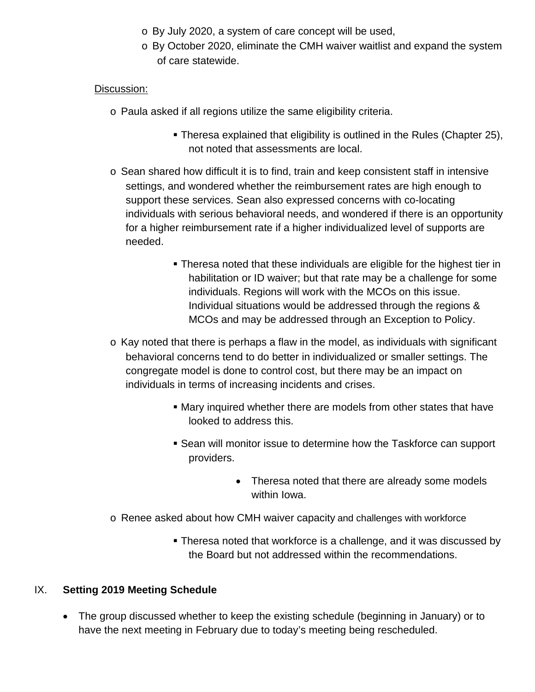- o By July 2020, a system of care concept will be used,
- o By October 2020, eliminate the CMH waiver waitlist and expand the system of care statewide.

#### Discussion:

- o Paula asked if all regions utilize the same eligibility criteria.
	- Theresa explained that eligibility is outlined in the Rules (Chapter 25), not noted that assessments are local.
- o Sean shared how difficult it is to find, train and keep consistent staff in intensive settings, and wondered whether the reimbursement rates are high enough to support these services. Sean also expressed concerns with co-locating individuals with serious behavioral needs, and wondered if there is an opportunity for a higher reimbursement rate if a higher individualized level of supports are needed.
	- Theresa noted that these individuals are eligible for the highest tier in habilitation or ID waiver; but that rate may be a challenge for some individuals. Regions will work with the MCOs on this issue. Individual situations would be addressed through the regions & MCOs and may be addressed through an Exception to Policy.
- o Kay noted that there is perhaps a flaw in the model, as individuals with significant behavioral concerns tend to do better in individualized or smaller settings. The congregate model is done to control cost, but there may be an impact on individuals in terms of increasing incidents and crises.
	- Mary inquired whether there are models from other states that have looked to address this.
	- Sean will monitor issue to determine how the Taskforce can support providers.
		- Theresa noted that there are already some models within Iowa.
- o Renee asked about how CMH waiver capacity and challenges with workforce
	- Theresa noted that workforce is a challenge, and it was discussed by the Board but not addressed within the recommendations.

## IX. **Setting 2019 Meeting Schedule**

• The group discussed whether to keep the existing schedule (beginning in January) or to have the next meeting in February due to today's meeting being rescheduled.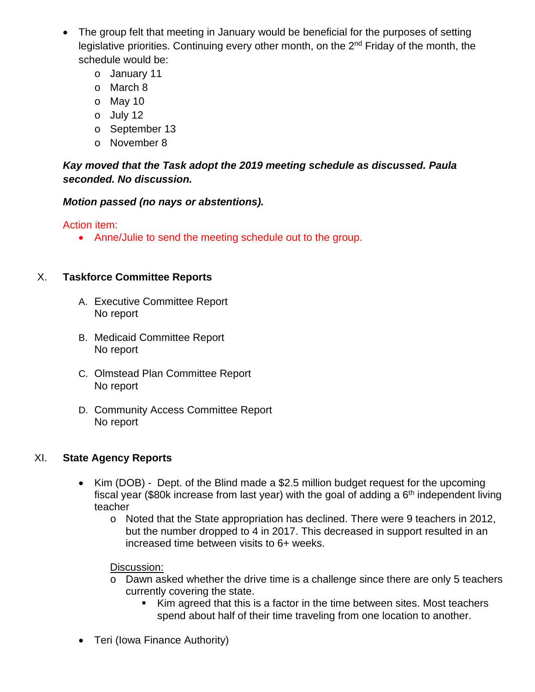- The group felt that meeting in January would be beneficial for the purposes of setting legislative priorities. Continuing every other month, on the 2<sup>nd</sup> Friday of the month, the schedule would be:
	- o January 11
	- o March 8
	- o May 10
	- o July 12
	- o September 13
	- o November 8

# *Kay moved that the Task adopt the 2019 meeting schedule as discussed. Paula seconded. No discussion.*

*Motion passed (no nays or abstentions).*

Action item:

• Anne/Julie to send the meeting schedule out to the group.

# X. **Taskforce Committee Reports**

- A. Executive Committee Report No report
- B. Medicaid Committee Report No report
- C. Olmstead Plan Committee Report No report
- D. Community Access Committee Report No report

# XI. **State Agency Reports**

- Kim (DOB) Dept. of the Blind made a \$2.5 million budget request for the upcoming fiscal year (\$80k increase from last year) with the goal of adding a  $6<sup>th</sup>$  independent living teacher
	- o Noted that the State appropriation has declined. There were 9 teachers in 2012, but the number dropped to 4 in 2017. This decreased in support resulted in an increased time between visits to 6+ weeks.

Discussion:

- o Dawn asked whether the drive time is a challenge since there are only 5 teachers currently covering the state.
	- Kim agreed that this is a factor in the time between sites. Most teachers spend about half of their time traveling from one location to another.
- Teri (Iowa Finance Authority)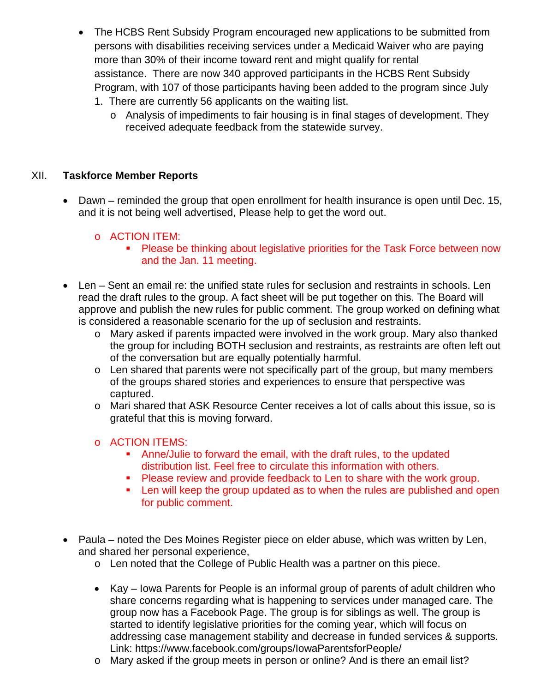- The HCBS Rent Subsidy Program encouraged new applications to be submitted from persons with disabilities receiving services under a Medicaid Waiver who are paying more than 30% of their income toward rent and might qualify for rental assistance. There are now 340 approved participants in the HCBS Rent Subsidy Program, with 107 of those participants having been added to the program since July
	- 1. There are currently 56 applicants on the waiting list.
		- o Analysis of impediments to fair housing is in final stages of development. They received adequate feedback from the statewide survey.

## XII. **Taskforce Member Reports**

• Dawn – reminded the group that open enrollment for health insurance is open until Dec. 15, and it is not being well advertised, Please help to get the word out.

## o ACTION ITEM:

- **Please be thinking about legislative priorities for the Task Force between now** and the Jan. 11 meeting.
- Len Sent an email re: the unified state rules for seclusion and restraints in schools. Len read the draft rules to the group. A fact sheet will be put together on this. The Board will approve and publish the new rules for public comment. The group worked on defining what is considered a reasonable scenario for the up of seclusion and restraints.
	- o Mary asked if parents impacted were involved in the work group. Mary also thanked the group for including BOTH seclusion and restraints, as restraints are often left out of the conversation but are equally potentially harmful.
	- o Len shared that parents were not specifically part of the group, but many members of the groups shared stories and experiences to ensure that perspective was captured.
	- o Mari shared that ASK Resource Center receives a lot of calls about this issue, so is grateful that this is moving forward.

## o ACTION ITEMS:

- Anne/Julie to forward the email, with the draft rules, to the updated distribution list. Feel free to circulate this information with others.
- **Please review and provide feedback to Len to share with the work group.**
- **EXECT** Len will keep the group updated as to when the rules are published and open for public comment.
- Paula noted the Des Moines Register piece on elder abuse, which was written by Len, and shared her personal experience,
	- o Len noted that the College of Public Health was a partner on this piece.
	- Kay Iowa Parents for People is an informal group of parents of adult children who share concerns regarding what is happening to services under managed care. The group now has a Facebook Page. The group is for siblings as well. The group is started to identify legislative priorities for the coming year, which will focus on addressing case management stability and decrease in funded services & supports. Link: https://www.facebook.com/groups/IowaParentsforPeople/
	- o Mary asked if the group meets in person or online? And is there an email list?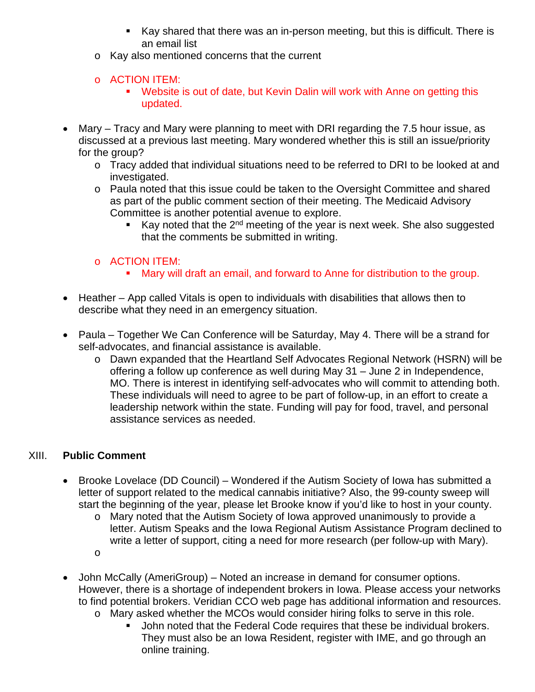- Kay shared that there was an in-person meeting, but this is difficult. There is an email list
- o Kay also mentioned concerns that the current
- o ACTION ITEM:
	- Website is out of date, but Kevin Dalin will work with Anne on getting this updated.
- Mary Tracy and Mary were planning to meet with DRI regarding the 7.5 hour issue, as discussed at a previous last meeting. Mary wondered whether this is still an issue/priority for the group?
	- o Tracy added that individual situations need to be referred to DRI to be looked at and investigated.
	- o Paula noted that this issue could be taken to the Oversight Committee and shared as part of the public comment section of their meeting. The Medicaid Advisory Committee is another potential avenue to explore.
		- Kay noted that the 2<sup>nd</sup> meeting of the year is next week. She also suggested that the comments be submitted in writing.

# o ACTION ITEM:

- Mary will draft an email, and forward to Anne for distribution to the group.
- Heather App called Vitals is open to individuals with disabilities that allows then to describe what they need in an emergency situation.
- Paula Together We Can Conference will be Saturday, May 4. There will be a strand for self-advocates, and financial assistance is available.
	- o Dawn expanded that the Heartland Self Advocates Regional Network (HSRN) will be offering a follow up conference as well during May 31 – June 2 in Independence, MO. There is interest in identifying self-advocates who will commit to attending both. These individuals will need to agree to be part of follow-up, in an effort to create a leadership network within the state. Funding will pay for food, travel, and personal assistance services as needed.

# XIII. **Public Comment**

- Brooke Lovelace (DD Council) Wondered if the Autism Society of Iowa has submitted a letter of support related to the medical cannabis initiative? Also, the 99-county sweep will start the beginning of the year, please let Brooke know if you'd like to host in your county.
	- o Mary noted that the Autism Society of Iowa approved unanimously to provide a letter. Autism Speaks and the Iowa Regional Autism Assistance Program declined to write a letter of support, citing a need for more research (per follow-up with Mary).
	- o
- John McCally (AmeriGroup) Noted an increase in demand for consumer options. However, there is a shortage of independent brokers in Iowa. Please access your networks to find potential brokers. Veridian CCO web page has additional information and resources.
	- o Mary asked whether the MCOs would consider hiring folks to serve in this role.
		- John noted that the Federal Code requires that these be individual brokers. They must also be an Iowa Resident, register with IME, and go through an online training.